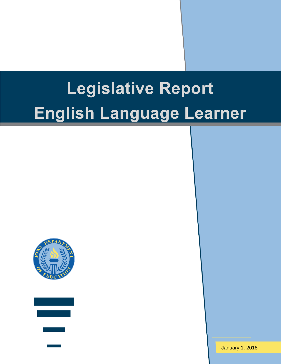# **Legislative Report English Language Learner**





January 1, 2018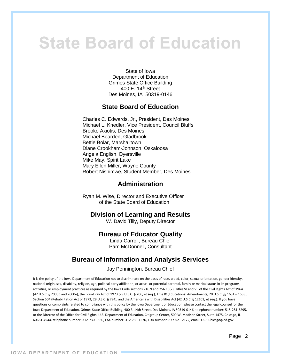# **State Board of Education**

State of Iowa Department of Education Grimes State Office Building 400 E. 14th Street Des Moines, IA 50319-0146

#### **State Board of Education**

Charles C. Edwards, Jr., President, Des Moines Michael L. Knedler, Vice President, Council Bluffs Brooke Axiotis, Des Moines Michael Bearden, Gladbrook Bettie Bolar, Marshalltown Diane Crookham-Johnson, Oskaloosa Angela English, Dyersville Mike May, Spirit Lake Mary Ellen Miller, Wayne County Robert Nishimwe, Student Member, Des Moines

#### **Administration**

Ryan M. Wise, Director and Executive Officer of the State Board of Education

#### **Division of Learning and Results**

W. David Tilly, Deputy Director

#### **Bureau of Educator Quality**

Linda Carroll, Bureau Chief Pam McDonnell, Consultant

#### **Bureau of Information and Analysis Services**

Jay Pennington, Bureau Chief

It is the policy of the Iowa Department of Education not to discriminate on the basis of race, creed, color, sexual orientation, gender identity, national origin, sex, disability, religion, age, political party affiliation, or actual or potential parental, family or marital status in its programs, activities, or employment practices as required by the Iowa Code sections 216.9 and 256.10(2), Titles VI and VII of the Civil Rights Act of 1964 (42 U.S.C. § 2000d and 2000e), the Equal Pay Act of 1973 (29 U.S.C. § 206, et seq.), Title IX (Educational Amendments, 20 U.S.C.§§ 1681 – 1688), Section 504 (Rehabilitation Act of 1973, 29 U.S.C. § 794), and the Americans with Disabilities Act (42 U.S.C. § 12101, et seq.). If you have questions or complaints related to compliance with this policy by the Iowa Department of Education, please contact the legal counsel for the Iowa Department of Education, Grimes State Office Building, 400 E. 14th Street, Des Moines, IA 50319-0146, telephone number: 515-281-5295, or the Director of the Office for Civil Rights, U.S. Department of Education, Citigroup Center, 500 W. Madison Street, Suite 1475, Chicago, IL 60661-4544, telephone number: 312-730-1560, FAX number: 312-730-1576, TDD number: 877-521-2172, email: OCR.Chicago@ed.gov.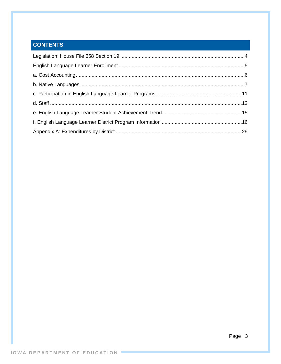### **CONTENTS**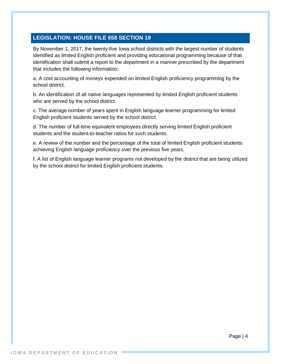#### <span id="page-3-0"></span>**LEGISLATION: HOUSE FILE 658 SECTION 19**

By November 1, 2017, the twenty-five Iowa school districts with the largest number of students identified as limited English proficient and providing educational programming because of that identification shall submit a report to the department in a manner prescribed by the department that includes the following information:

a. A cost accounting of moneys expended on limited English proficiency programming by the school district.

b. An identification of all native languages represented by limited English proficient students who are served by the school district.

c. The average number of years spent in English language learner programming for limited English proficient students served by the school district.

d. The number of full-time equivalent employees directly serving limited English proficient students and the student-to-teacher ratios for such students.

e. A review of the number and the percentage of the total of limited English proficient students achieving English language proficiency over the previous five years.

f. A list of English language learner programs not developed by the district that are being utilized by the school district for limited English proficient students.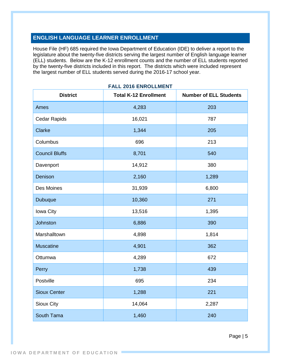#### <span id="page-4-0"></span>**ENGLISH LANGUAGE LEARNER ENROLLMENT**

House File (HF) 685 required the Iowa Department of Education (IDE) to deliver a report to the legislature about the twenty-five districts serving the largest number of English language learner (ELL) students. Below are the K-12 enrollment counts and the number of ELL students reported by the twenty-five districts included in this report. The districts which were included represent the largest number of ELL students served during the 2016-17 school year.

| <b>District</b>       | <b>Total K-12 Enrollment</b> | <b>Number of ELL Students</b> |
|-----------------------|------------------------------|-------------------------------|
| Ames                  | 4,283                        | 203                           |
| <b>Cedar Rapids</b>   | 16,021                       | 787                           |
| <b>Clarke</b>         | 1,344                        | 205                           |
| Columbus              | 696                          | 213                           |
| <b>Council Bluffs</b> | 8,701                        | 540                           |
| Davenport             | 14,912                       | 380                           |
| Denison               | 2,160                        | 1,289                         |
| Des Moines            | 31,939                       | 6,800                         |
| Dubuque               | 10,360                       | 271                           |
| Iowa City             | 13,516                       | 1,395                         |
| Johnston              | 6,886                        | 390                           |
| Marshalltown          | 4,898                        | 1,814                         |
| <b>Muscatine</b>      | 4,901                        | 362                           |
| Ottumwa               | 4,289                        | 672                           |
| Perry                 | 1,738                        | 439                           |
| Postville             | 695                          | 234                           |
| <b>Sioux Center</b>   | 1,288                        | 221                           |
| Sioux City            | 14,064                       | 2,287                         |
| South Tama            | 1,460                        | 240                           |

#### **FALL 2016 ENROLLMENT**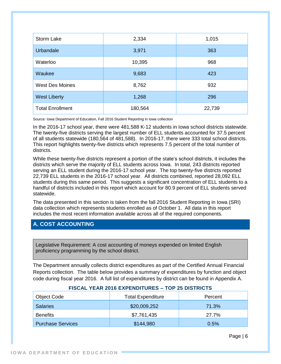| Storm Lake              | 2,334   | 1,015  |
|-------------------------|---------|--------|
| Urbandale               | 3,971   | 363    |
| Waterloo                | 10,395  | 968    |
| Waukee                  | 9,683   | 423    |
| <b>West Des Moines</b>  | 8,762   | 932    |
| <b>West Liberty</b>     | 1,268   | 296    |
| <b>Total Enrollment</b> | 180,564 | 22,739 |

Source: Iowa Department of Education, Fall 2016 Student Reporting in Iowa collection

In the 2016-17 school year, there were 481,588 K-12 students in Iowa school districts statewide. The twenty-five districts serving the largest number of ELL students accounted for 37.5 percent of all students statewide (180,564 of 481,588). In 2016-17, there were 333 total school districts. This report highlights twenty-five districts which represents 7.5 percent of the total number of districts.

While these twenty-five districts represent a portion of the state's school districts, it includes the districts which serve the majority of ELL students across Iowa. In total, 243 districts reported serving an ELL student during the 2016-17 school year. The top twenty-five districts reported 22,739 ELL students in the 2016-17 school year. All districts combined, reported 28,092 ELL students during this same period. This suggests a significant concentration of ELL students to a handful of districts included in this report which account for 80.9 percent of ELL students served statewide.

The data presented in this section is taken from the fall 2016 Student Reporting in Iowa (SRI) data collection which represents students enrolled as of October 1. All data in this report includes the most recent information available across all of the required components.

#### <span id="page-5-0"></span>**A. COST ACCOUNTING**

Legislative Requirement: A cost accounting of moneys expended on limited English proficiency programming by the school district.

The Department annually collects district expenditures as part of the Certified Annual Financial Reports collection. The table below provides a summary of expenditures by function and object code during fiscal year 2016. A full list of expenditures by district can be found in Appendix A.

| Object Code              | <b>Total Expenditure</b> | Percent |
|--------------------------|--------------------------|---------|
| <b>Salaries</b>          | \$20,009,252             | 71.3%   |
| <b>Benefits</b>          | \$7,761,435              | 27.7%   |
| <b>Purchase Services</b> | \$144,980                | 0.5%    |

#### **FISCAL YEAR 2016 EXPENDITURES – TOP 25 DISTRICTS**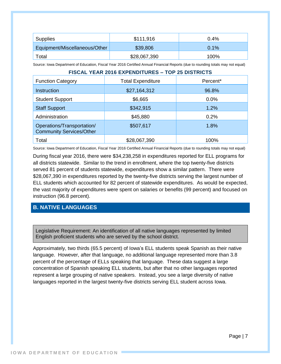| Supplies                      | \$111,916    | 0.4% |
|-------------------------------|--------------|------|
| Equipment/Miscellaneous/Other | \$39,806     | 0.1% |
| Total                         | \$28,067,390 | 100% |

Source: Iowa Department of Education, Fiscal Year 2016 Certified Annual Financial Reports (due to rounding totals may not equal)

| <b>FISCAL YEAR 2016 EXPENDITURES - TOP 25 DISTRICTS</b>       |                          |          |
|---------------------------------------------------------------|--------------------------|----------|
| <b>Function Category</b>                                      | <b>Total Expenditure</b> | Percent* |
| Instruction                                                   | \$27,164,312             | 96.8%    |
| <b>Student Support</b>                                        | \$6,665                  | 0.0%     |
| <b>Staff Support</b>                                          | \$342,915                | 1.2%     |
| Administration                                                | \$45,880                 | 0.2%     |
| Operations/Transportation/<br><b>Community Services/Other</b> | \$507,617                | 1.8%     |
| Total                                                         | \$28,067,390             | 100%     |

Source: Iowa Department of Education, Fiscal Year 2016 Certified Annual Financial Reports (due to rounding totals may not equal)

During fiscal year 2016, there were \$34,238,258 in expenditures reported for ELL programs for all districts statewide. Similar to the trend in enrollment, where the top twenty-five districts served 81 percent of students statewide, expenditures show a similar pattern. There were \$28,067,390 in expenditures reported by the twenty-five districts serving the largest number of ELL students which accounted for 82 percent of statewide expenditures. As would be expected, the vast majority of expenditures were spent on salaries or benefits (99 percent) and focused on instruction (96.8 percent).

#### <span id="page-6-0"></span>**B. NATIVE LANGUAGES**

Legislative Requirement: An identification of all native languages represented by limited English proficient students who are served by the school district.

Approximately, two thirds (65.5 percent) of Iowa's ELL students speak Spanish as their native language. However, after that language, no additional language represented more than 3.8 percent of the percentage of ELLs speaking that language. These data suggest a large concentration of Spanish speaking ELL students, but after that no other languages reported represent a large grouping of native speakers. Instead, you see a large diversity of native languages reported in the largest twenty-five districts serving ELL student across Iowa.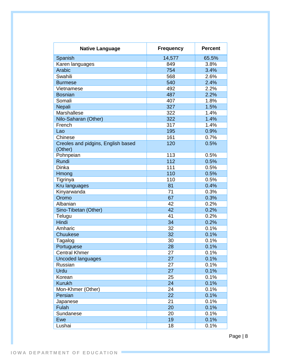| <b>Native Language</b>                        | <b>Frequency</b> | <b>Percent</b> |
|-----------------------------------------------|------------------|----------------|
| Spanish                                       | 14,577           | 65.5%          |
| Karen languages                               | 849              | 3.8%           |
| Arabic                                        | 754              | 3.4%           |
| Swahili                                       | 568              | 2.6%           |
| <b>Burmese</b>                                | 540              | 2.4%           |
| Vietnamese                                    | 492              | 2.2%           |
| <b>Bosnian</b>                                | 487              | 2.2%           |
| Somali                                        | 407              | 1.8%           |
| Nepali                                        | 327              | 1.5%           |
| Marshallese                                   | 322              | 1.4%           |
| Nilo-Saharan (Other)                          | 322              | 1.4%           |
| French                                        | 317              | 1.4%           |
| Lao                                           | 195              | 0.9%           |
| Chinese                                       | 161              | 0.7%           |
| Creoles and pidgins, English based<br>(Other) | 120              | 0.5%           |
| Pohnpeian                                     | 113              | 0.5%           |
| Rundi                                         | 112              | 0.5%           |
| <b>Dinka</b>                                  | 111              | 0.5%           |
| Hmong                                         | 110              | 0.5%           |
| Tigrinya                                      | 110              | 0.5%           |
| Kru languages                                 | 81               | 0.4%           |
| Kinyarwanda                                   | 71               | 0.3%           |
| Oromo                                         | 67               | 0.3%           |
| Albanian                                      | 42               | 0.2%           |
| Sino-Tibetan (Other)                          | 42               | 0.2%           |
| Telugu                                        | 41               | 0.2%           |
| Hindi                                         | 34               | 0.2%           |
| Amharic                                       | 32               | 0.1%           |
| Chuukese                                      | 32               | 0.1%           |
| Tagalog                                       | 30               | 0.1%           |
| Portuguese                                    | 28               | 0.1%           |
| <b>Central Khmer</b>                          | 27               | 0.1%           |
| <b>Uncoded languages</b>                      | 27               | 0.1%           |
| Russian                                       | 27               | 0.1%           |
| Urdu                                          | 27               | 0.1%           |
| Korean                                        | 25               | 0.1%           |
| <b>Kurukh</b>                                 | 24               | 0.1%           |
| Mon-Khmer (Other)                             | 24               | 0.1%           |
| Persian                                       | 22               | 0.1%           |
| Japanese                                      | 21               | 0.1%           |
| <b>Fulah</b>                                  | 20               | 0.1%           |
| Sundanese                                     | 20               | 0.1%           |
| Ewe                                           | 19               | 0.1%           |
| Lushai                                        | 18               | 0.1%           |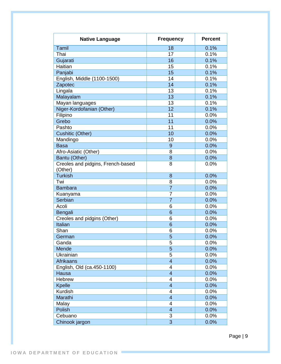| <b>Native Language</b>            | <b>Frequency</b> | <b>Percent</b> |
|-----------------------------------|------------------|----------------|
| Tamil                             | 18               | 0.1%           |
| Thai                              | 17               | 0.1%           |
| Gujarati                          | 16               | 0.1%           |
| Haitian                           | 15               | 0.1%           |
| Panjabi                           | 15               | 0.1%           |
| English, Middle (1100-1500)       | 14               | 0.1%           |
| Zapotec                           | 14               | 0.1%           |
| Lingala                           | 13               | 0.1%           |
| Malayalam                         | 13               | 0.1%           |
| Mayan languages                   | 13               | 0.1%           |
| Niger-Kordofanian (Other)         | 12               | 0.1%           |
| Filipino                          | 11               | 0.0%           |
| Grebo                             | 11               | 0.0%           |
| Pashto                            | 11               | 0.0%           |
| Cushitic (Other)                  | 10               | 0.0%           |
| Mandingo                          | 10               | 0.0%           |
| <b>Basa</b>                       | $\overline{9}$   | 0.0%           |
| Afro-Asiatic (Other)              | 8                | 0.0%           |
| Bantu (Other)                     | 8                | 0.0%           |
| Creoles and pidgins, French-based | 8                | 0.0%           |
| (Other)                           |                  |                |
| <b>Turkish</b>                    | 8                | 0.0%           |
| Twi                               | 8                | 0.0%           |
| <b>Bambara</b>                    | $\overline{7}$   | 0.0%           |
| Kuanyama                          | $\overline{7}$   | 0.0%           |
| Serbian                           | $\overline{7}$   | 0.0%           |
| Acoli                             | 6                | 0.0%           |
| Bengali                           | 6                | 0.0%           |
| Creoles and pidgins (Other)       | 6                | 0.0%           |
| Italian                           | 6                | 0.0%           |
| Shan                              | 6                | 0.0%           |
| German                            | 5                | 0.0%           |
| Ganda                             | 5                | 0.0%           |
| Mende                             | $\overline{5}$   | 0.0%           |
| Ukrainian                         | 5                | 0.0%           |
| Afrikaans                         | $\overline{4}$   | 0.0%           |
| English, Old (ca.450-1100)        | 4                | 0.0%           |
| Hausa                             | $\overline{4}$   | 0.0%           |
| Hebrew                            | 4                | 0.0%           |
| <b>Kpelle</b>                     | $\overline{4}$   | 0.0%           |
| Kurdish                           | 4                | 0.0%           |
| Marathi                           | $\overline{4}$   | 0.0%           |
|                                   | 4                |                |
| Malay                             |                  | 0.0%           |
| <b>Polish</b>                     | $\overline{4}$   | 0.0%           |
| Cebuano                           | 3                | 0.0%           |
| Chinook jargon                    | 3                | 0.0%           |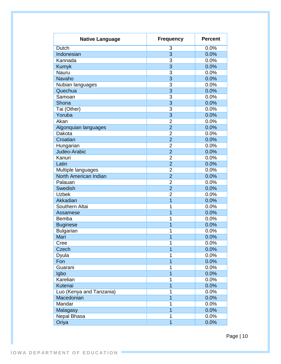| <b>Native Language</b>   | <b>Frequency</b>        | <b>Percent</b> |
|--------------------------|-------------------------|----------------|
| <b>Dutch</b>             | 3                       | 0.0%           |
| Indonesian               | 3                       | 0.0%           |
| Kannada                  | 3                       | 0.0%           |
| Kumyk                    | $\overline{3}$          | 0.0%           |
| Nauru                    | $\overline{3}$          | 0.0%           |
| <b>Navaho</b>            | $\overline{3}$          | 0.0%           |
| Nubian languages         | 3                       | 0.0%           |
| Quechua                  | $\overline{3}$          | 0.0%           |
| Samoan                   | 3                       | 0.0%           |
| Shona                    | $\overline{3}$          | 0.0%           |
| Tai (Other)              | $\overline{3}$          | 0.0%           |
| Yoruba                   | $\overline{3}$          | 0.0%           |
| Akan                     | $\overline{2}$          | 0.0%           |
| Algonquian languages     | $\overline{2}$          | 0.0%           |
| Dakota                   | $\overline{2}$          | 0.0%           |
| Croatian                 | $\overline{2}$          | 0.0%           |
| Hungarian                | $\overline{2}$          | 0.0%           |
| Judeo-Arabic             | $\overline{2}$          | 0.0%           |
| Kanuri                   | $\overline{2}$          | 0.0%           |
| Latin                    | $\overline{2}$          | 0.0%           |
| Multiple languages       | $\overline{2}$          | 0.0%           |
| North American Indian    | $\overline{2}$          | 0.0%           |
| Palauan                  | $\overline{2}$          | 0.0%           |
| Swedish                  | $\overline{2}$          | 0.0%           |
| <b>Uzbek</b>             | 2                       | 0.0%           |
| Akkadian                 | 1                       | 0.0%           |
| Southern Altai           | 1                       | 0.0%           |
| Assamese                 | 1                       | 0.0%           |
| Bemba                    | 1                       | 0.0%           |
| <b>Buginese</b>          | 1                       | 0.0%           |
| <b>Bulgarian</b>         | 1                       | 0.0%           |
| Mari                     | $\overline{1}$          | 0.0%           |
| Cree                     | 1                       | 0.0%           |
| Czech                    | 1                       | 0.0%           |
| Dyula                    | 1                       | 0.0%           |
| Fon                      | $\overline{1}$          | 0.0%           |
| Guarani                  | 1                       | 0.0%           |
| Igbo                     | $\overline{1}$          | 0.0%           |
| Karelian                 | 1                       | 0.0%           |
| Kutenai                  | 1                       | 0.0%           |
| Luo (Kenya and Tanzania) | 1                       | 0.0%           |
| Macedonian               | 1                       | 0.0%           |
| Mandar                   | 1                       | 0.0%           |
| Malagasy                 | $\overline{1}$          | 0.0%           |
| Nepal Bhasa              | 1                       | 0.0%           |
| Oriya                    | $\overline{\mathbf{1}}$ | 0.0%           |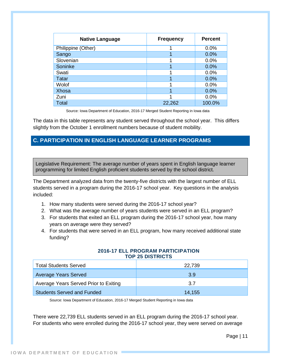| <b>Native Language</b> | <b>Frequency</b> | <b>Percent</b> |
|------------------------|------------------|----------------|
| Philippine (Other)     |                  | 0.0%           |
| Sango                  |                  | 0.0%           |
| Slovenian              |                  | 0.0%           |
| Soninke                |                  | 0.0%           |
| Swati                  |                  | 0.0%           |
| <b>Tatar</b>           | 4                | 0.0%           |
| Wolof                  | ◢                | 0.0%           |
| <b>Xhosa</b>           | 4                | 0.0%           |
| Zuni                   |                  | 0.0%           |
| Total                  | 22,262           | 100.0%         |

Source: Iowa Department of Education, 2016-17 Merged Student Reporting in Iowa data

The data in this table represents any student served throughout the school year. This differs slightly from the October 1 enrollment numbers because of student mobility.

#### <span id="page-10-0"></span>**C. PARTICIPATION IN ENGLISH LANGUAGE LEARNER PROGRAMS**

Legislative Requirement: The average number of years spent in English language learner programming for limited English proficient students served by the school district.

The Department analyzed data from the twenty-five districts with the largest number of ELL students served in a program during the 2016-17 school year. Key questions in the analysis included:

- 1. How many students were served during the 2016-17 school year?
- 2. What was the average number of years students were served in an ELL program?
- 3. For students that exited an ELL program during the 2016-17 school year, how many years on average were they served?
- 4. For students that were served in an ELL program, how many received additional state funding?

| <b>2016-17 ELL PROGRAM PARTICIPATION</b> |  |
|------------------------------------------|--|
| <b>TOP 25 DISTRICTS</b>                  |  |

| <b>Total Students Served</b>          | 22,739 |
|---------------------------------------|--------|
| <b>Average Years Served</b>           | 3.9    |
| Average Years Served Prior to Exiting | 3.7    |
| <b>Students Served and Funded</b>     | 14,155 |

Source: Iowa Department of Education, 2016-17 Merged Student Reporting in Iowa data

There were 22,739 ELL students served in an ELL program during the 2016-17 school year. For students who were enrolled during the 2016-17 school year, they were served on average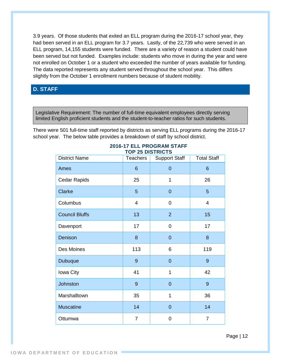3.9 years. Of those students that exited an ELL program during the 2016-17 school year, they had been served in an ELL program for 3.7 years. Lastly, of the 22,739 who were served in an ELL program, 14,155 students were funded. There are a variety of reason a student could have been served but not funded. Examples include: students who move in during the year and were not enrolled on October 1 or a student who exceeded the number of years available for funding. The data reported represents any student served throughout the school year. This differs slightly from the October 1 enrollment numbers because of student mobility.

#### <span id="page-11-0"></span>**D. STAFF**

Legislative Requirement: The number of full-time equivalent employees directly serving limited English proficient students and the student-to-teacher ratios for such students.

There were 501 full-time staff reported by districts as serving ELL programs during the 2016-17 school year. The below table provides a breakdown of staff by school district.

| <b>District Name</b>  | <b>Teachers</b> | <b>Support Staff</b> | <b>Total Staff</b> |
|-----------------------|-----------------|----------------------|--------------------|
| Ames                  | 6               | $\overline{0}$       | 6                  |
| Cedar Rapids          | 25              | 1                    | 26                 |
| Clarke                | 5               | $\overline{0}$       | 5                  |
| Columbus              | 4               | 0                    | $\overline{4}$     |
| <b>Council Bluffs</b> | 13              | $\overline{2}$       | 15                 |
| Davenport             | 17              | 0                    | 17                 |
| Denison               | 8               | $\overline{0}$       | 8                  |
| Des Moines            | 113             | 6                    | 119                |
| Dubuque               | 9               | $\overline{0}$       | 9                  |
| Iowa City             | 41              | $\mathbf{1}$         | 42                 |
| Johnston              | 9               | $\overline{0}$       | 9                  |
| Marshalltown          | 35              | $\mathbf{1}$         | 36                 |
| <b>Muscatine</b>      | 14              | $\overline{0}$       | 14                 |
| Ottumwa               | $\overline{7}$  | 0                    | $\overline{7}$     |

#### **2016-17 ELL PROGRAM STAFF TOP 25 DISTRICTS**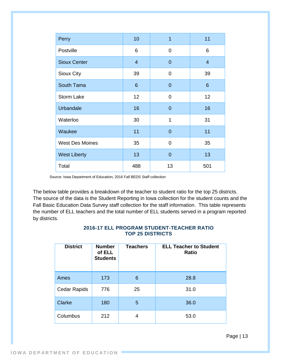| Perry                  | 10             | 1              | 11              |
|------------------------|----------------|----------------|-----------------|
| Postville              | 6              | 0              | 6               |
| <b>Sioux Center</b>    | $\overline{4}$ | $\overline{0}$ | $\overline{4}$  |
| <b>Sioux City</b>      | 39             | 0              | 39              |
| South Tama             | $6\phantom{1}$ | $\overline{0}$ | $6\phantom{1}6$ |
| <b>Storm Lake</b>      | 12             | 0              | 12              |
| <b>Urbandale</b>       | 16             | $\overline{0}$ | 16              |
| Waterloo               | 30             | 1              | 31              |
| Waukee                 | 11             | $\overline{0}$ | 11              |
| <b>West Des Moines</b> | 35             | 0              | 35              |
| <b>West Liberty</b>    | 13             | $\overline{0}$ | 13              |
| Total                  | 488            | 13             | 501             |

Source: Iowa Department of Education, 2016 Fall BEDS Staff collection

The below table provides a breakdown of the teacher to student ratio for the top 25 districts. The source of the data is the Student Reporting in Iowa collection for the student counts and the Fall Basic Education Data Survey staff collection for the staff information. This table represents the number of ELL teachers and the total number of ELL students served in a program reported by districts.

# **District Number of ELL Students Teachers ELL Teacher to Student Ratio** Ames 173 6 28.8 Cedar Rapids 776 25 31.0 Clarke 180 5 36.0 Columbus 212 4 53.0

#### **2016-17 ELL PROGRAM STUDENT-TEACHER RATIO TOP 25 DISTRICTS**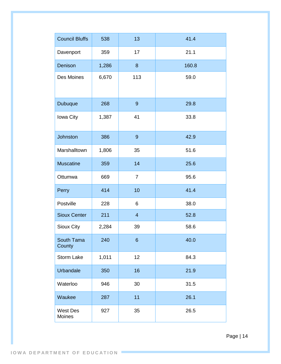| <b>Council Bluffs</b>     | 538   | 13             | 41.4  |
|---------------------------|-------|----------------|-------|
| Davenport                 | 359   | 17             | 21.1  |
| Denison                   | 1,286 | 8              | 160.8 |
| Des Moines                | 6,670 | 113            | 59.0  |
| Dubuque                   | 268   | $\overline{9}$ | 29.8  |
| Iowa City                 | 1,387 | 41             | 33.8  |
| <b>Johnston</b>           | 386   | $\overline{9}$ | 42.9  |
| Marshalltown              | 1,806 | 35             | 51.6  |
| <b>Muscatine</b>          | 359   | 14             | 25.6  |
| Ottumwa                   | 669   | $\overline{7}$ | 95.6  |
| Perry                     | 414   | 10             | 41.4  |
| Postville                 | 228   | 6              | 38.0  |
| <b>Sioux Center</b>       | 211   | $\overline{4}$ | 52.8  |
| Sioux City                | 2,284 | 39             | 58.6  |
| South Tama<br>County      | 240   | 6 <sup>°</sup> | 40.0  |
| <b>Storm Lake</b>         | 1,011 | 12             | 84.3  |
| <b>Urbandale</b>          | 350   | 16             | 21.9  |
| Waterloo                  | 946   | 30             | 31.5  |
| Waukee                    | 287   | 11             | 26.1  |
| <b>West Des</b><br>Moines | 927   | 35             | 26.5  |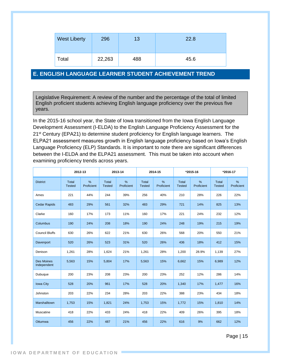| <b>West Liberty</b> | 296    | 13  | 22.8 |
|---------------------|--------|-----|------|
| Total               | 22,263 | 488 | 45.6 |

#### <span id="page-14-0"></span>**E. ENGLISH LANGUAGE LEARNER STUDENT ACHIEVEMENT TREND**

Legislative Requirement: A review of the number and the percentage of the total of limited English proficient students achieving English language proficiency over the previous five years.

In the 2015-16 school year, the State of Iowa transitioned from the Iowa English Language Development Assessment (I-ELDA) to the English Language Proficiency Assessment for the 21<sup>st</sup> Century (EPA21) to determine student proficiency for English language learners. The ELPA21 assessment measures growth in English language proficiency based on Iowa's English Language Proficiency (ELP) Standards. It is important to note there are significant differences between the I-ELDA and the ELPA21 assessment. This must be taken into account when examining proficiency trends across years.

|                                  | 2012-13                       |                 |                               | 2013-14                     |                               | 2014-15         |                               | *2015-16           |                        | *2016-17        |
|----------------------------------|-------------------------------|-----------------|-------------------------------|-----------------------------|-------------------------------|-----------------|-------------------------------|--------------------|------------------------|-----------------|
| <b>District</b>                  | <b>Total</b><br><b>Tested</b> | %<br>Proficient | <b>Total</b><br><b>Tested</b> | $\frac{9}{6}$<br>Proficient | <b>Total</b><br><b>Tested</b> | %<br>Proficient | <b>Total</b><br><b>Tested</b> | $\%$<br>Proficient | Total<br><b>Tested</b> | %<br>Proficient |
| Ames                             | 221                           | 44%             | 244                           | 39%                         | 256                           | 40%             | 210                           | 28%                | 226                    | 22%             |
| <b>Cedar Rapids</b>              | 483                           | 29%             | 561                           | 32%                         | 483                           | 29%             | 721                           | 14%                | 825                    | 13%             |
| Clarke                           | 160                           | 17%             | 173                           | 11%                         | 160                           | 17%             | 221                           | 24%                | 232                    | 12%             |
| Columbus                         | 190                           | 24%             | 208                           | 18%                         | 190                           | 24%             | 248                           | 19%                | 215                    | 19%             |
| <b>Council Bluffs</b>            | 630                           | 26%             | 622                           | 21%                         | 630                           | 26%             | 568                           | 20%                | 550                    | 21%             |
| Davenport                        | 520                           | 26%             | 523                           | 31%                         | 520                           | 26%             | 436                           | 18%                | 412                    | 15%             |
| Denison                          | 1,261                         | 28%             | 1,624                         | 21%                         | 1,261                         | 28%             | 1,200                         | 28.9%              | 1,139                  | 27%             |
| <b>Des Moines</b><br>Independent | 5,563                         | 15%             | 5,804                         | 17%                         | 5,563                         | 15%             | 6,662                         | 15%                | 6,989                  | 12%             |
| Dubuque                          | 200                           | 23%             | 208                           | 23%                         | 200                           | 23%             | 252                           | 12%                | 286                    | 14%             |
| <b>Iowa City</b>                 | 528                           | 20%             | 961                           | 17%                         | 528                           | 20%             | 1,340                         | 17%                | 1,477                  | 16%             |
| Johnston                         | 203                           | 22%             | 234                           | 28%                         | 203                           | 22%             | 388                           | 23%                | 434                    | 18%             |
| Marshalltown                     | 1,753                         | 15%             | 1,821                         | 24%                         | 1,753                         | 15%             | 1,772                         | 15%                | 1,810                  | 14%             |
| Muscatine                        | 418                           | 22%             | 433                           | 24%                         | 418                           | 22%             | 409                           | 26%                | 395                    | 18%             |
| Ottumwa                          | 456                           | 22%             | 487                           | 21%                         | 456                           | 22%             | 616                           | 9%                 | 662                    | 12%             |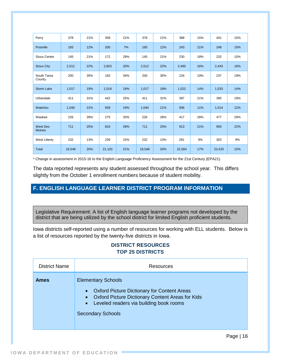| Perry                            | 378    | 21% | 358    | 21% | 378    | 21% | 388    | 15% | 441    | 15% |
|----------------------------------|--------|-----|--------|-----|--------|-----|--------|-----|--------|-----|
| <b>Postville</b>                 | 165    | 12% | 200    | 7%  | 165    | 12% | 243    | 21% | 248    | 15% |
| Sioux Center                     | 145    | 21% | 172    | 29% | 145    | 21% | 230    | 18% | 232    | 15% |
| <b>Sioux City</b>                | 2,512  | 22% | 2,603  | 20% | 2,512  | 22% | 2,460  | 16% | 2,443  | 16% |
| South Tama<br>County             | 200    | 35% | 183    | 34% | 200    | 35% | 234    | 19% | 237    | 19% |
| <b>Storm Lake</b>                | 1,017  | 19% | 1,018  | 19% | 1,017  | 19% | 1,022  | 14% | 1,033  | 14% |
| Urbandale                        | 411    | 31% | 442    | 25% | 411    | 31% | 397    | 21% | 395    | 19% |
| Waterloo                         | 1,040  | 21% | 939    | 19% | 1,040  | 21% | 936    | 11% | 1,014  | 12% |
| Waukee                           | 226    | 28% | 275    | 33% | 226    | 28% | 417    | 28% | 477    | 29% |
| <b>West Des</b><br><b>Moines</b> | 711    | 25% | 816    | 28% | 711    | 25% | 913    | 21% | 950    | 22% |
| <b>West Liberty</b>              | 232    | 13% | 239    | 15% | 232    | 13% | 281    | 9%  | 303    | 9%  |
| <b>Total</b>                     | 19,548 | 20% | 21,103 | 21% | 19,548 | 20% | 22,564 | 17% | 23,425 | 15% |

\* Change in assessment in 2015-16 to the English Language Proficiency Assessment for the 21st Century (EPA21).

The data reported represents any student assessed throughout the school year. This differs slightly from the October 1 enrollment numbers because of student mobility.

#### <span id="page-15-0"></span>**F. ENGLISH LANGUAGE LEARNER DISTRICT PROGRAM INFORMATION**

Legislative Requirement: A list of English language learner programs not developed by the district that are being utilized by the school district for limited English proficient students.

Iowa districts self-reported using a number of resources for working with ELL students. Below is a list of resources reported by the twenty-five districts in Iowa.

#### **DISTRICT RESOURCES TOP 25 DISTRICTS**

| <b>District Name</b> | Resources                                                                                                                                                                                                                                                |
|----------------------|----------------------------------------------------------------------------------------------------------------------------------------------------------------------------------------------------------------------------------------------------------|
| <b>Ames</b>          | <b>Elementary Schools</b><br><b>Oxford Picture Dictionary for Content Areas</b><br>$\bullet$<br><b>Oxford Picture Dictionary Content Areas for Kids</b><br>$\bullet$<br>Leveled readers via building book rooms<br>$\bullet$<br><b>Secondary Schools</b> |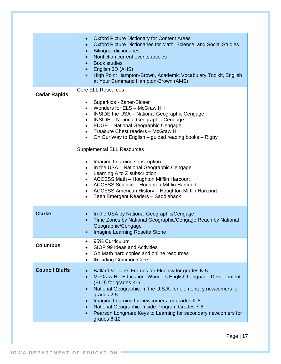|                       | <b>Oxford Picture Dictionary for Content Areas</b><br>Oxford Picture Dictionaries for Math, Science, and Social Studies<br><b>Bilingual dictionaries</b><br>Nonfiction current events articles<br><b>Book studies</b><br>English 3D (AHS)<br>High Point Hampton-Brown, Academic Vocabulary Toolkit, English<br>$\bullet$<br>at Your Command Hampton-Brown (AMS)                                                                                                                                                                                                                                                                                                                                                                                                              |
|-----------------------|------------------------------------------------------------------------------------------------------------------------------------------------------------------------------------------------------------------------------------------------------------------------------------------------------------------------------------------------------------------------------------------------------------------------------------------------------------------------------------------------------------------------------------------------------------------------------------------------------------------------------------------------------------------------------------------------------------------------------------------------------------------------------|
| <b>Cedar Rapids</b>   | <b>Core ELL Resources</b><br>Superkids - Zaner-Bloser<br>Wonders for ELS - McGraw Hill<br>INSIDE the USA - National Geographic Cengage<br><b>INSIDE</b> - National Geographic Cengage<br>$\bullet$<br>EDGE - National Geographic Cengage<br>$\bullet$<br>Treasure Chest readers - McGraw Hill<br>$\bullet$<br>On Our Way to English – guided reading books – Rigby<br>$\bullet$<br><b>Supplemental ELL Resources</b><br>Imagine Learning subscription<br>In the USA - National Geographic Cengage<br>Learning A to Z subscription<br><b>ACCESS Math - Houghton Mifflin Harcourt</b><br>$\bullet$<br><b>ACCESS Science - Houghton Mifflin Harcourt</b><br>ACCESS American History - Houghton Mifflin Harcourt<br>$\bullet$<br>Teen Emergent Readers - Saddleback<br>$\bullet$ |
| <b>Clarke</b>         | In the USA by National Geographic/Cengage<br>Time Zones by National Geographic/Cengage Reach by National<br>$\bullet$<br>Geographic/Cengage<br>Imagine Learning Rosetta Stone                                                                                                                                                                                                                                                                                                                                                                                                                                                                                                                                                                                                |
| <b>Columbus</b>       | 95% Curriculum<br>SIOP 99 Ideas and Activities<br>Go Math hard copies and online resources<br><b>IReading Common Core</b>                                                                                                                                                                                                                                                                                                                                                                                                                                                                                                                                                                                                                                                    |
| <b>Council Bluffs</b> | Ballard & Tighe: Frames for Fluency for grades K-5<br>McGraw Hill Education: Wonders English Language Development<br>(ELD) for grades K-6<br>National Geographic: In the U.S.A. for elementary newcomers for<br>$\bullet$<br>grades 2-5<br>Imagine Learning for newcomers for grades K-8<br>National Geographic: Inside Program Grades 7-8<br>Pearson Longman: Keys to Learning for secondary newcomers for<br>grades 6-12                                                                                                                                                                                                                                                                                                                                                   |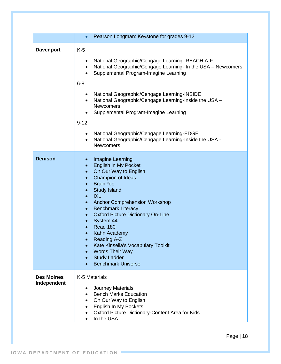|                                  | Pearson Longman: Keystone for grades 9-12<br>$\bullet$                                                                                                                                                                                                                                                                                                                                                                                                                                                  |
|----------------------------------|---------------------------------------------------------------------------------------------------------------------------------------------------------------------------------------------------------------------------------------------------------------------------------------------------------------------------------------------------------------------------------------------------------------------------------------------------------------------------------------------------------|
| <b>Davenport</b>                 | $K-5$<br>National Geographic/Cengage Learning-REACH A-F<br>National Geographic/Cengage Learning- In the USA - Newcomers<br>$\bullet$<br>Supplemental Program-Imagine Learning<br>$6 - 8$                                                                                                                                                                                                                                                                                                                |
|                                  | National Geographic/Cengage Learning-INSIDE<br>National Geographic/Cengage Learning-Inside the USA -<br><b>Newcomers</b><br>Supplemental Program-Imagine Learning<br>$9 - 12$                                                                                                                                                                                                                                                                                                                           |
|                                  | National Geographic/Cengage Learning-EDGE<br>National Geographic/Cengage Learning-Inside the USA -<br>$\bullet$<br><b>Newcomers</b>                                                                                                                                                                                                                                                                                                                                                                     |
| <b>Denison</b>                   | Imagine Learning<br>$\bullet$<br><b>English in My Pocket</b><br>On Our Way to English<br>$\bullet$<br><b>Champion of Ideas</b><br><b>BrainPop</b><br><b>Study Island</b><br><b>IXL</b><br><b>Anchor Comprehension Workshop</b><br><b>Benchmark Literacy</b><br><b>Oxford Picture Dictionary On-Line</b><br>System 44<br>Read 180<br>Kahn Academy<br><b>Reading A-Z</b><br>$\bullet$<br>Kate Kinsella's Vocabulary Toolkit<br><b>Words Their Way</b><br><b>Study Ladder</b><br><b>Benchmark Universe</b> |
| <b>Des Moines</b><br>Independent | K-5 Materials<br><b>Journey Materials</b><br><b>Bench Marks Education</b><br>On Our Way to English<br>English In My Pockets<br>Oxford Picture Dictionary-Content Area for Kids<br>In the USA                                                                                                                                                                                                                                                                                                            |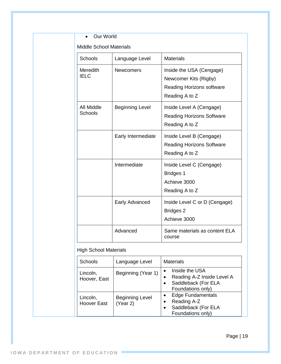#### • Our World

Middle School Materials

| <b>Schools</b>          | Language Level         | <b>Materials</b>                                                                                        |
|-------------------------|------------------------|---------------------------------------------------------------------------------------------------------|
| Meredith<br><b>IELC</b> | <b>Newcomers</b>       | Inside the USA (Cengage)<br>Newcomer Kits (Rigby)<br><b>Reading Horizons software</b><br>Reading A to Z |
| All Middle<br>Schools   | <b>Beginning Level</b> | Inside Level A (Cengage)<br><b>Reading Horizons Software</b><br>Reading A to Z                          |
|                         | Early Intermediate     | Inside Level B (Cengage)<br><b>Reading Horizons Software</b><br>Reading A to Z                          |
|                         | Intermediate           | Inside Level C (Cengage)<br><b>Bridges 1</b><br>Achieve 3000<br>Reading A to Z                          |
|                         | Early Advanced         | Inside Level C or D (Cengage)<br><b>Bridges 2</b><br>Achieve 3000                                       |
|                         | Advanced               | Same materials as content ELA<br>course                                                                 |

#### High School Materials

| <b>Schools</b>                 | Language Level                     | <b>Materials</b>                                                                                                        |
|--------------------------------|------------------------------------|-------------------------------------------------------------------------------------------------------------------------|
| Lincoln,<br>Hoover, East       | Beginning (Year 1)                 | Inside the USA<br>$\bullet$<br>Reading A-Z Inside Level A<br>٠<br>Saddleback (For ELA<br>$\bullet$<br>Foundations only) |
| Lincoln,<br><b>Hoover East</b> | <b>Beginning Level</b><br>(Year 2) | <b>Edge Fundamentals</b><br>$\bullet$<br>Reading A-Z<br>٠<br>Saddleback (For ELA<br>$\bullet$<br>Foundations only)      |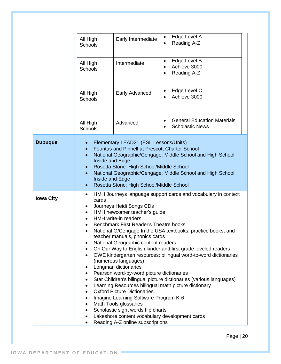|                  | All High<br>Schools<br>All High<br>Schools<br>All High<br>Schools                                                                                                                                                                                                                                                                                                                                                                                                                                                                                                                                                                                                                                                                                                                                                                                                                                                                                                                                                                        | Early Intermediate<br>Intermediate<br>Early Advanced                                                                                       | Edge Level A<br>$\bullet$<br>Reading A-Z<br>$\bullet$<br>Edge Level B<br>$\bullet$<br>Achieve 3000<br>$\bullet$<br>Reading A-Z<br>$\bullet$<br>Edge Level C<br>$\bullet$<br>Achieve 3000<br>$\bullet$ |  |
|------------------|------------------------------------------------------------------------------------------------------------------------------------------------------------------------------------------------------------------------------------------------------------------------------------------------------------------------------------------------------------------------------------------------------------------------------------------------------------------------------------------------------------------------------------------------------------------------------------------------------------------------------------------------------------------------------------------------------------------------------------------------------------------------------------------------------------------------------------------------------------------------------------------------------------------------------------------------------------------------------------------------------------------------------------------|--------------------------------------------------------------------------------------------------------------------------------------------|-------------------------------------------------------------------------------------------------------------------------------------------------------------------------------------------------------|--|
|                  | All High<br>Schools                                                                                                                                                                                                                                                                                                                                                                                                                                                                                                                                                                                                                                                                                                                                                                                                                                                                                                                                                                                                                      | Advanced                                                                                                                                   | <b>General Education Materials</b><br>$\bullet$<br><b>Scholastic News</b><br>$\bullet$                                                                                                                |  |
| <b>Dubuque</b>   | $\bullet$<br>$\bullet$<br>$\bullet$<br>Inside and Edge<br>Inside and Edge<br>$\bullet$                                                                                                                                                                                                                                                                                                                                                                                                                                                                                                                                                                                                                                                                                                                                                                                                                                                                                                                                                   | Elementary LEAD21 (ESL Lessons/Units)<br><b>Fountas and Pinnell at Prescott Charter School</b><br>Rosetta Stone: High School/Middle School | National Geographic/Cengage: Middle School and High School<br>National Geographic/Cengage: Middle School and High School                                                                              |  |
| <b>Iowa City</b> | Rosetta Stone: High School/Middle School<br>HMH Journeys language support cards and vocabulary in context<br>٠<br>cards<br>Journeys Heidi Songs CDs<br>٠<br>HMH newcomer teacher's guide<br>$\bullet$<br><b>HMH</b> write-in readers<br>Benchmark First Reader's Theatre books<br>National G/Cengage In the USA textbooks, practice books, and<br>teacher manuals, phonics cards<br>National Geographic content readers<br>On Our Way to English kinder and first grade leveled readers<br>OWE kindergarten resources; bilingual word-to-word dictionaries<br>٠<br>(numerous languages)<br>Longman dictionaries<br>Pearson word-by-word picture dictionaries<br>٠<br>Star Children's bilingual picture dictionaries (various languages)<br>Learning Resources bilingual math picture dictionary<br><b>Oxford Picture Dictionaries</b><br>Imagine Learning Software Program K-6<br>Math Tools glossaries<br>Scholastic sight words flip charts<br>Lakeshore content vocabulary development cards<br>٠<br>Reading A-Z online subscriptions |                                                                                                                                            |                                                                                                                                                                                                       |  |

Page | 20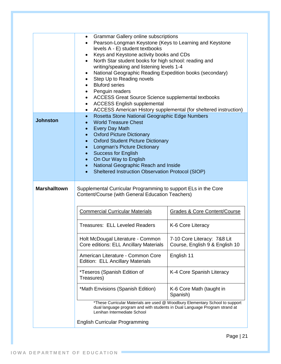|                     | <b>Grammar Gallery online subscriptions</b><br>$\bullet$<br>Pearson-Longman Keystone (Keys to Learning and Keystone<br>levels A - E) student textbooks<br>Keys and Keystone activity books and CDs<br>٠<br>North Star student books for high school: reading and<br>$\bullet$<br>writing/speaking and listening levels 1-4<br>National Geographic Reading Expedition books (secondary)<br>Step Up to Reading novels<br><b>Bluford series</b><br>Penguin readers<br>ACCESS Great Source Science supplemental textbooks<br><b>ACCESS English supplemental</b><br>٠<br>ACCESS American History supplemental (for sheltered instruction) |  |  |  |  |
|---------------------|--------------------------------------------------------------------------------------------------------------------------------------------------------------------------------------------------------------------------------------------------------------------------------------------------------------------------------------------------------------------------------------------------------------------------------------------------------------------------------------------------------------------------------------------------------------------------------------------------------------------------------------|--|--|--|--|
| <b>Johnston</b>     | Rosetta Stone National Geographic Edge Numbers<br>$\bullet$<br><b>World Treasure Chest</b><br><b>Every Day Math</b><br><b>Oxford Picture Dictionary</b><br><b>Oxford Student Picture Dictionary</b><br>Longman's Picture Dictionary<br><b>Success for English</b><br>On Our Way to English<br>$\bullet$<br>National Geographic Reach and Inside<br>$\bullet$<br>Sheltered Instruction Observation Protocol (SIOP)                                                                                                                                                                                                                    |  |  |  |  |
| <b>Marshalltown</b> | Supplemental Curricular Programming to support ELs in the Core<br>Content/Course (with General Education Teachers)                                                                                                                                                                                                                                                                                                                                                                                                                                                                                                                   |  |  |  |  |
|                     | <b>Commercial Curricular Materials</b><br><b>Grades &amp; Core Content/Course</b>                                                                                                                                                                                                                                                                                                                                                                                                                                                                                                                                                    |  |  |  |  |
|                     | <b>Treasures: ELL Leveled Readers</b><br>K-6 Core Literacy                                                                                                                                                                                                                                                                                                                                                                                                                                                                                                                                                                           |  |  |  |  |
|                     | Holt McDougal Literature - Common<br>7-10 Core Literacy: 7&8 Lit<br>Core editions: ELL Ancillary Materials<br>Course, English 9 & English 10                                                                                                                                                                                                                                                                                                                                                                                                                                                                                         |  |  |  |  |
|                     | American Literature - Common Core<br>English 11<br>Edition: ELL Ancillary Materials                                                                                                                                                                                                                                                                                                                                                                                                                                                                                                                                                  |  |  |  |  |
|                     | *Teseros (Spanish Edition of<br>K-4 Core Spanish Literacy<br>Treasures)                                                                                                                                                                                                                                                                                                                                                                                                                                                                                                                                                              |  |  |  |  |
|                     | *Math Envisions (Spanish Edition)<br>K-6 Core Math (taught in<br>Spanish)                                                                                                                                                                                                                                                                                                                                                                                                                                                                                                                                                            |  |  |  |  |
|                     | *These Curricular Materials are used @ Woodbury Elementary School to support<br>dual language program and with students in Dual Language Program strand at<br>Lenihan Intermediate School                                                                                                                                                                                                                                                                                                                                                                                                                                            |  |  |  |  |
|                     | <b>English Curricular Programming</b>                                                                                                                                                                                                                                                                                                                                                                                                                                                                                                                                                                                                |  |  |  |  |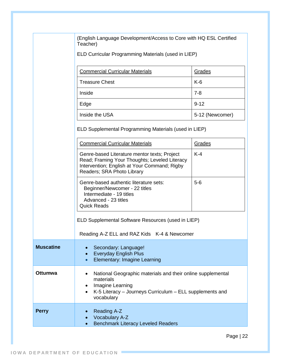(English Language Development/Access to Core with HQ ESL Certified Teacher)

ELD Curricular Programming Materials (used in LIEP)

| <b>Commercial Curricular Materials</b> | Grades          |
|----------------------------------------|-----------------|
| <b>Treasure Chest</b>                  | $K-6$           |
| Inside                                 | $7 - 8$         |
| Edge                                   | $9 - 12$        |
| Inside the USA                         | 5-12 (Newcomer) |

ELD Supplemental Programming Materials (used in LIEP)

|                  | <b>Commercial Curricular Materials</b>                                                                                                                                               | Grades |  |  |  |
|------------------|--------------------------------------------------------------------------------------------------------------------------------------------------------------------------------------|--------|--|--|--|
|                  | $K-4$<br>Genre-based Literature mentor texts; Project<br>Read; Framing Your Thoughts; Leveled Literacy<br>Intervention; English at Your Command; Rigby<br>Readers; SRA Photo Library |        |  |  |  |
|                  | Genre-based authentic literature sets:<br>$5-6$<br>Beginner/Newcomer - 22 titles<br>Intermediate - 19 titles<br>Advanced - 23 titles<br><b>Quick Reads</b>                           |        |  |  |  |
|                  | ELD Supplemental Software Resources (used in LIEP)                                                                                                                                   |        |  |  |  |
|                  | Reading A-Z ELL and RAZ Kids K-4 & Newcomer                                                                                                                                          |        |  |  |  |
| <b>Muscatine</b> | Secondary: Language!<br><b>Everyday English Plus</b><br>$\bullet$<br>Elementary: Imagine Learning                                                                                    |        |  |  |  |
| Ottumwa          | National Geographic materials and their online supplemental<br>materials<br>Imagine Learning<br>K-5 Literacy - Journeys Curriculum - ELL supplements and<br>vocabulary               |        |  |  |  |
| <b>Perry</b>     | Reading A-Z<br><b>Vocabulary A-Z</b><br><b>Benchmark Literacy Leveled Readers</b>                                                                                                    |        |  |  |  |
|                  |                                                                                                                                                                                      |        |  |  |  |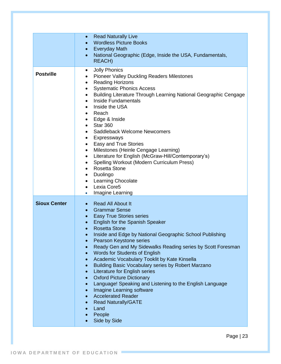|                     | <b>Read Naturally Live</b><br>$\bullet$<br><b>Wordless Picture Books</b><br><b>Everyday Math</b><br>$\bullet$<br>National Geographic (Edge, Inside the USA, Fundamentals,<br>$\bullet$<br><b>REACH)</b>                                                                                                                                                                                                                                                                                                                                                                                                                                                                                                                                                                                |
|---------------------|----------------------------------------------------------------------------------------------------------------------------------------------------------------------------------------------------------------------------------------------------------------------------------------------------------------------------------------------------------------------------------------------------------------------------------------------------------------------------------------------------------------------------------------------------------------------------------------------------------------------------------------------------------------------------------------------------------------------------------------------------------------------------------------|
| <b>Postville</b>    | <b>Jolly Phonics</b><br>$\bullet$<br><b>Pioneer Valley Duckling Readers Milestones</b><br>٠<br><b>Reading Horizons</b><br>$\bullet$<br><b>Systematic Phonics Access</b><br>Building Literature Through Learning National Geographic Cengage<br><b>Inside Fundamentals</b><br>Inside the USA<br>Reach<br>Edge & Inside<br>٠<br><b>Star 360</b><br>$\bullet$<br>Saddleback Welcome Newcomers<br>Expressways<br>$\bullet$<br>Easy and True Stories<br>$\bullet$<br>Milestones (Heinle Cengage Learning)<br>٠<br>Literature for English (McGraw-Hill/Contemporary's)<br>٠<br>Spelling Workout (Modern Curriculum Press)<br><b>Rosetta Stone</b><br>Duolingo<br>$\bullet$<br>Learning Chocolate<br>٠<br>Lexia Core5<br>$\bullet$<br>Imagine Learning<br>$\bullet$                           |
| <b>Sioux Center</b> | <b>Read All About It</b><br>$\bullet$ .<br><b>Grammar Sense</b><br>$\bullet$<br><b>Easy True Stories series</b><br>English for the Spanish Speaker<br><b>Rosetta Stone</b><br>Inside and Edge by National Geographic School Publishing<br>$\bullet$<br>Pearson Keystone series<br>Ready Gen and My Sidewalks Reading series by Scott Foresman<br>Words for Students of English<br>Academic Vocabulary Tooklit by Kate Kinsella<br>$\bullet$<br>Building Basic Vocabulary series by Robert Marzano<br>$\bullet$<br>Literature for English series<br>$\bullet$<br><b>Oxford Picture Dictionary</b><br>Language! Speaking and Listening to the English Language<br>Imagine Learning software<br><b>Accelerated Reader</b><br><b>Read Naturally/GATE</b><br>Land<br>People<br>Side by Side |

Page | 23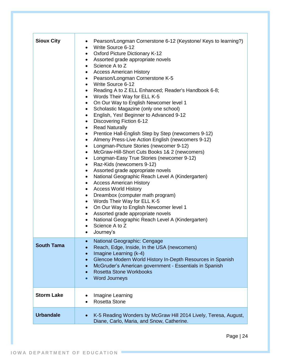| <b>Sioux City</b> | Pearson/Longman Cornerstone 6-12 (Keystone/ Keys to learning?)<br>$\bullet$<br>Write Source 6-12<br>$\bullet$<br>• Oxford Picture Dictionary K-12<br>Assorted grade appropriate novels<br>$\bullet$<br>Science A to Z<br>$\bullet$<br><b>Access American History</b><br>$\bullet$<br>Pearson/Longman Cornerstone K-5<br>$\bullet$<br>• Write Source 6-12<br>Reading A to Z ELL Enhanced; Reader's Handbook 6-8;<br>$\bullet$<br>Words Their Way for ELL K-5<br>$\bullet$<br>On Our Way to English Newcomer level 1<br>$\bullet$<br>Scholastic Magazine (only one school)<br>$\bullet$<br>English, Yes! Beginner to Advanced 9-12<br>$\bullet$<br>Discovering Fiction 6-12<br>$\bullet$<br><b>Read Naturally</b><br>$\bullet$<br>Prentice Hall-English Step by Step (newcomers 9-12)<br>$\bullet$<br>Almeny Press-Live Action English (newcomers 9-12)<br>$\bullet$<br>Longman-Picture Stories (newcomer 9-12)<br>$\bullet$<br>McGraw-Hill-Short Cuts Books 1& 2 (newcomers)<br>$\bullet$<br>Longman-Easy True Stories (newcomer 9-12)<br>$\bullet$<br>Raz-Kids (newcomers 9-12)<br>$\bullet$<br>Assorted grade appropriate novels<br>$\bullet$<br>National Geographic Reach Level A (Kindergarten)<br>$\bullet$<br><b>Access American History</b><br>$\bullet$<br><b>Access World History</b><br>$\bullet$<br>Dreambox (computer math program)<br>$\bullet$<br>Words Their Way for ELL K-5<br>$\bullet$<br>On Our Way to English Newcomer level 1<br>$\bullet$<br>Assorted grade appropriate novels<br>$\bullet$<br>National Geographic Reach Level A (Kindergarten)<br>$\bullet$<br>Science A to Z<br>$\bullet$ |
|-------------------|------------------------------------------------------------------------------------------------------------------------------------------------------------------------------------------------------------------------------------------------------------------------------------------------------------------------------------------------------------------------------------------------------------------------------------------------------------------------------------------------------------------------------------------------------------------------------------------------------------------------------------------------------------------------------------------------------------------------------------------------------------------------------------------------------------------------------------------------------------------------------------------------------------------------------------------------------------------------------------------------------------------------------------------------------------------------------------------------------------------------------------------------------------------------------------------------------------------------------------------------------------------------------------------------------------------------------------------------------------------------------------------------------------------------------------------------------------------------------------------------------------------------------------------------------------------------------------------------------------------|
|                   | Journey's<br>$\bullet$                                                                                                                                                                                                                                                                                                                                                                                                                                                                                                                                                                                                                                                                                                                                                                                                                                                                                                                                                                                                                                                                                                                                                                                                                                                                                                                                                                                                                                                                                                                                                                                           |
| <b>South Tama</b> | National Geographic: Cengage<br>Reach, Edge, Inside, In the USA (newcomers)<br>Imagine Learning (k-4)<br>$\bullet$<br>Glencoe Modern World History In-Depth Resources in Spanish<br>$\bullet$<br>McGruder's American government - Essentials in Spanish<br>$\bullet$<br><b>Rosetta Stone Workbooks</b><br>$\bullet$<br><b>Word Journeys</b><br>$\bullet$                                                                                                                                                                                                                                                                                                                                                                                                                                                                                                                                                                                                                                                                                                                                                                                                                                                                                                                                                                                                                                                                                                                                                                                                                                                         |
| <b>Storm Lake</b> | Imagine Learning<br><b>Rosetta Stone</b><br>$\bullet$                                                                                                                                                                                                                                                                                                                                                                                                                                                                                                                                                                                                                                                                                                                                                                                                                                                                                                                                                                                                                                                                                                                                                                                                                                                                                                                                                                                                                                                                                                                                                            |
| <b>Urbandale</b>  | K-5 Reading Wonders by McGraw Hill 2014 Lively, Teresa, August,<br>$\bullet$<br>Diane, Carlo, Maria, and Snow, Catherine.                                                                                                                                                                                                                                                                                                                                                                                                                                                                                                                                                                                                                                                                                                                                                                                                                                                                                                                                                                                                                                                                                                                                                                                                                                                                                                                                                                                                                                                                                        |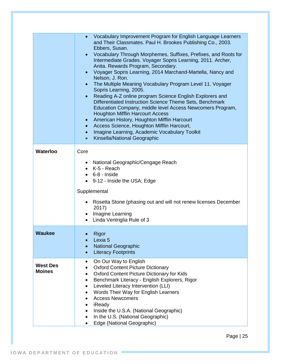|                                  | Vocabulary Improvement Program for English Language Learners<br>and Their Classmates. Paul H. Brookes Publishing Co., 2003.<br>Ebbers, Susan.<br>Vocabulary Through Morphemes, Suffixes, Prefixes, and Roots for<br>Intermediate Grades. Voyager Sopris Learning, 2011. Archer,<br>Anita. Rewards Program, Secondary.<br>Voyager Sopris Learning, 2014 Marchand-Martella, Nancy and<br>$\bullet$<br>Nelson, J. Ron.<br>The Multiple Meaning Vocabulary Program Level 11. Voyager<br>Sopris Learning, 2005.<br>Reading A-Z online program Science English Explorers and<br>$\bullet$<br>Differentiated Instruction Science Theme Sets, Benchmark<br>Education Company, middle level Access Newcomers Program,<br><b>Houghton Mifflin Harcourt Access</b><br>American History, Houghton Mifflin Harcourt<br>Access Science, Houghton Mifflin Harcourt,<br>$\bullet$<br>Imagine Learning, Academic Vocabulary Toolkit<br>$\bullet$<br>Kinsella/National Geographic<br>$\bullet$ |
|----------------------------------|------------------------------------------------------------------------------------------------------------------------------------------------------------------------------------------------------------------------------------------------------------------------------------------------------------------------------------------------------------------------------------------------------------------------------------------------------------------------------------------------------------------------------------------------------------------------------------------------------------------------------------------------------------------------------------------------------------------------------------------------------------------------------------------------------------------------------------------------------------------------------------------------------------------------------------------------------------------------------|
| <b>Waterloo</b>                  | Core<br>• National Geographic/Cengage Reach<br>K-5 - Reach<br>$\bullet$ 6-8 - Inside<br>9-12 - Inside the USA; Edge<br>Supplemental                                                                                                                                                                                                                                                                                                                                                                                                                                                                                                                                                                                                                                                                                                                                                                                                                                          |
|                                  | Rosetta Stone (phasing out and will not renew licenses December<br>2017)<br>Imagine Learning<br>Linda Ventriglia Rule of 3                                                                                                                                                                                                                                                                                                                                                                                                                                                                                                                                                                                                                                                                                                                                                                                                                                                   |
| <b>Waukee</b>                    | Rigor<br>Lexia <sub>5</sub><br><b>National Geographic</b><br><b>Literacy Footprints</b>                                                                                                                                                                                                                                                                                                                                                                                                                                                                                                                                                                                                                                                                                                                                                                                                                                                                                      |
| <b>West Des</b><br><b>Moines</b> | On Our Way to English<br>٠<br><b>Oxford Content Picture Dictionary</b><br>Oxford Content Picture Dictionary for Kids<br>Benchmark Literacy - English Explorers, Rigor<br>Leveled Literacy Intervention (LLI)<br>Words Their Way for English Learners<br><b>Access Newcomers</b><br>iReady<br>Inside the U.S.A. (National Geographic)<br>In the U.S. (National Geographic)<br>$\bullet$<br>Edge (National Geographic)<br>$\bullet$                                                                                                                                                                                                                                                                                                                                                                                                                                                                                                                                            |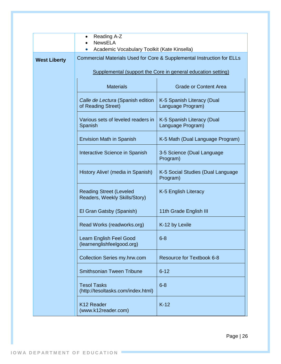|                     | Reading A-Z<br><b>NewsELA</b><br>Academic Vocabulary Toolkit (Kate Kinsella)<br>$\bullet$ |                                                 |  |  |  |  |  |
|---------------------|-------------------------------------------------------------------------------------------|-------------------------------------------------|--|--|--|--|--|
| <b>West Liberty</b> | Commercial Materials Used for Core & Supplemental Instruction for ELLs                    |                                                 |  |  |  |  |  |
|                     | Supplemental (support the Core in general education setting)                              |                                                 |  |  |  |  |  |
|                     | <b>Materials</b><br><b>Grade or Content Area</b>                                          |                                                 |  |  |  |  |  |
|                     | Calle de Lectura (Spanish edition<br>of Reading Street)                                   | K-5 Spanish Literacy (Dual<br>Language Program) |  |  |  |  |  |
|                     | Various sets of leveled readers in<br>Spanish                                             | K-5 Spanish Literacy (Dual<br>Language Program) |  |  |  |  |  |
|                     | <b>Envision Math in Spanish</b>                                                           | K-5 Math (Dual Language Program)                |  |  |  |  |  |
|                     | Interactive Science in Spanish<br>3-5 Science (Dual Language<br>Program)                  |                                                 |  |  |  |  |  |
|                     | History Alive! (media in Spanish)<br>K-5 Social Studies (Dual Language<br>Program)        |                                                 |  |  |  |  |  |
|                     | <b>Reading Street (Leveled</b><br>Readers, Weekly Skills/Story)                           | K-5 English Literacy                            |  |  |  |  |  |
|                     | El Gran Gatsby (Spanish)                                                                  | 11th Grade English III                          |  |  |  |  |  |
|                     | Read Works (readworks.org)<br>K-12 by Lexile                                              |                                                 |  |  |  |  |  |
|                     | Learn English Feel Good<br>$6 - 8$<br>(learnenglishfeelgood.org)                          |                                                 |  |  |  |  |  |
|                     | <b>Collection Series my.hrw.com</b>                                                       | Resource for Textbook 6-8                       |  |  |  |  |  |
|                     | <b>Smithsonian Tween Tribune</b>                                                          | $6 - 12$                                        |  |  |  |  |  |
|                     | $6 - 8$<br><b>Tesol Tasks</b><br>(http://tesoltasks.com/index.html)                       |                                                 |  |  |  |  |  |
|                     | $K-12$<br>K <sub>12</sub> Reader<br>(www.k12reader.com)                                   |                                                 |  |  |  |  |  |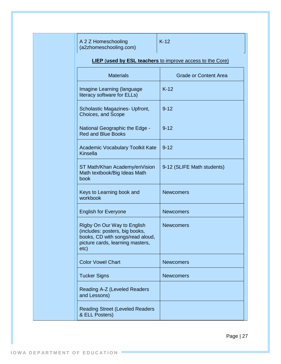A 2 Z Homeschooling (a2zhomeschooling.com)

#### **LIEP** (**used by ESL teachers** to improve access to the Core)

| <b>Materials</b>                                                                                                                              | <b>Grade or Content Area</b> |  |  |
|-----------------------------------------------------------------------------------------------------------------------------------------------|------------------------------|--|--|
| <b>Imagine Learning (language</b><br>literacy software for ELLs)                                                                              | $K-12$                       |  |  |
| Scholastic Magazines- Upfront,<br>Choices, and Scope                                                                                          | $9 - 12$                     |  |  |
| <b>National Geographic the Edge -</b><br><b>Red and Blue Books</b>                                                                            | $9 - 12$                     |  |  |
| Academic Vocabulary Toolkit Kate<br><b>Kinsella</b>                                                                                           | $9 - 12$                     |  |  |
| ST Math/Khan Academy/enVision<br>Math textbook/Big Ideas Math<br>book                                                                         | 9-12 (SLIFE Math students)   |  |  |
| Keys to Learning book and<br>workbook                                                                                                         | <b>Newcomers</b>             |  |  |
| <b>English for Everyone</b>                                                                                                                   | <b>Newcomers</b>             |  |  |
| Rigby On Our Way to English<br>(includes: posters, big books,<br>books, CD with songs/read aloud,<br>picture cards, learning masters,<br>etc) | <b>Newcomers</b>             |  |  |
| <b>Color Vowel Chart</b>                                                                                                                      | <b>Newcomers</b>             |  |  |
| <b>Tucker Signs</b>                                                                                                                           | <b>Newcomers</b>             |  |  |
| Reading A-Z (Leveled Readers<br>and Lessons)                                                                                                  |                              |  |  |
| <b>Reading Street (Leveled Readers</b><br>& ELL Posters)                                                                                      |                              |  |  |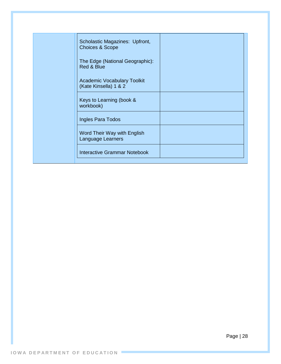| Scholastic Magazines: Upfront,<br><b>Choices &amp; Scope</b> |  |
|--------------------------------------------------------------|--|
| The Edge (National Geographic):<br>Red & Blue                |  |
| <b>Academic Vocabulary Toolkit</b><br>(Kate Kinsella) 1 & 2  |  |
| Keys to Learning (book &<br>workbook)                        |  |
| Ingles Para Todos                                            |  |
| Word Their Way with English<br>Language Learners             |  |
| <b>Interactive Grammar Notebook</b>                          |  |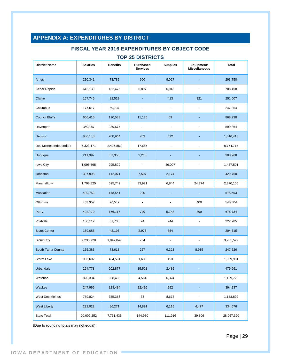## <span id="page-28-0"></span>**APPENDIX A: EXPENDITURES BY DISTRICT**

#### **FISCAL YEAR 2016 EXPENDITURES BY OBJECT CODE**

#### **TOP 25 DISTRICTS**

| <b>District Name</b>   | <b>Salaries</b> | <b>Benefits</b> | Purchased<br><b>Services</b> | <b>Supplies</b>          | Equipment/<br><b>Miscellaneous</b> | <b>Total</b> |
|------------------------|-----------------|-----------------|------------------------------|--------------------------|------------------------------------|--------------|
| Ames                   | 210,341         | 73,782          | 600                          | 9,027                    |                                    | 293,750      |
| Cedar Rapids           | 642,139         | 132,476         | 6,897                        | 6,945                    | ä,                                 | 788,458      |
| Clarke                 | 167,745         | 82,528          |                              | 413                      | 321                                | 251,007      |
| Columbus               | 177,617         | 69,737          | $\blacksquare$               | $\blacksquare$           |                                    | 247,354      |
| <b>Council Bluffs</b>  | 666,410         | 190,583         | 11,176                       | 69                       |                                    | 868,238      |
| Davenport              | 360,187         | 239,677         | $\blacksquare$               | $\overline{\phantom{a}}$ | $\ddot{\phantom{1}}$               | 599,864      |
| Denison                | 806,140         | 208,944         | 709                          | 622                      |                                    | 1,016,415    |
| Des Moines Independent | 6,321,171       | 2,425,861       | 17,685                       | $\overline{\phantom{a}}$ |                                    | 8,764,717    |
| <b>Dubuque</b>         | 211,397         | 87,356          | 2,215                        | ٠                        | ٠                                  | 300,968      |
| lowa City              | 1,095,665       | 295,829         | $\blacksquare$               | 46,007                   |                                    | 1,437,501    |
| Johnston               | 307,998         | 112,071         | 7,507                        | 2,174                    |                                    | 429,750      |
| Marshalltown           | 1,708,825       | 595,742         | 33,921                       | 6,844                    | 24,774                             | 2,370,105    |
| Muscatine              | 429,752         | 148,551         | 290                          |                          |                                    | 578,593      |
| Ottumwa                | 463,357         | 76,547          | $\blacksquare$               | $\overline{\phantom{a}}$ | 400                                | 540,304      |
| Perry                  | 492,770         | 176,117         | 799                          | 5,148                    | 899                                | 675,734      |
| Postville              | 160,112         | 61,705          | 24                           | 944                      |                                    | 222,785      |
| <b>Sioux Center</b>    | 159,088         | 42,196          | 2,976                        | 354                      |                                    | 204,615      |
| Sioux City             | 2,233,728       | 1,047,047       | 754                          | $\overline{\phantom{a}}$ |                                    | 3,281,529    |
| South Tama County      | 155,383         | 73,618          | 267                          | 9,323                    | 8,935                              | 247,526      |
| Storm Lake             | 903,602         | 484,591         | 1,635                        | 153                      |                                    | 1,389,981    |
| Urbandale              | 254,778         | 202,877         | 15,521                       | 2,485                    |                                    | 475,661      |
| Waterloo               | 820,334         | 368,488         | 4,584                        | 6,324                    |                                    | 1,199,729    |
| Waukee                 | 247,966         | 123,484         | 22,496                       | 292                      |                                    | 394,237      |
| West Des Moines        | 789,824         | 355,356         | 33                           | 8,678                    |                                    | 1,153,892    |
| <b>West Liberty</b>    | 222,922         | 86,271          | 14,891                       | 6,115                    | 4,477                              | 334,676      |
| <b>State Total</b>     | 20,009,252      | 7,761,435       | 144,980                      | 111,916                  | 39,806                             | 28,067,390   |

(Due to rounding totals may not equal)